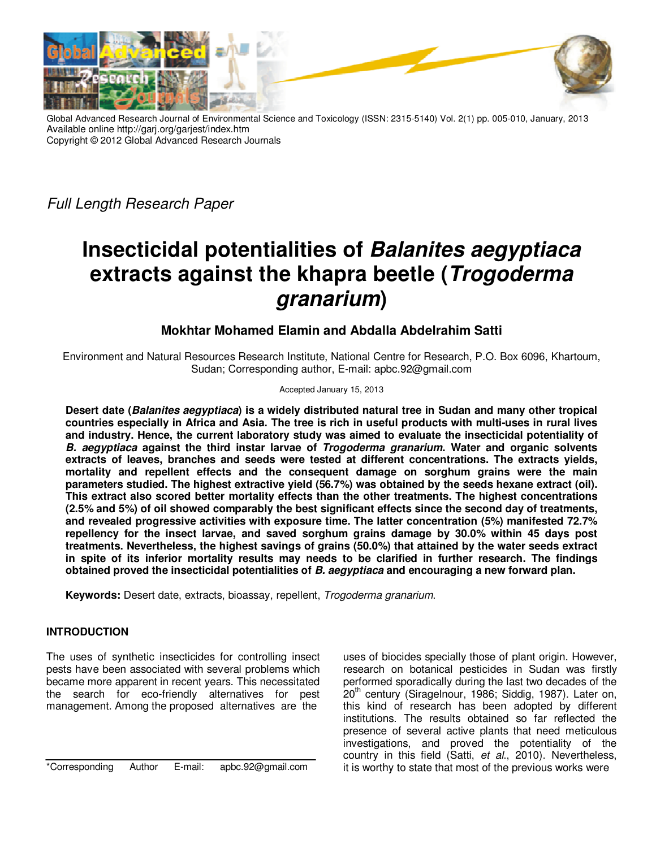

Global Advanced Research Journal of Environmental Science and Toxicology (ISSN: 2315-5140) Vol. 2(1) pp. 005-010, January, 2013 Available online http://garj.org/garjest/index.htm Copyright © 2012 Global Advanced Research Journals

Full Length Research Paper

# **Insecticidal potentialities of Balanites aegyptiaca extracts against the khapra beetle (Trogoderma granarium)**

# **Mokhtar Mohamed Elamin and Abdalla Abdelrahim Satti**

Environment and Natural Resources Research Institute, National Centre for Research, P.O. Box 6096, Khartoum, Sudan; Corresponding author, E-mail: apbc.92@gmail.com

Accepted January 15, 2013

**Desert date (Balanites aegyptiaca) is a widely distributed natural tree in Sudan and many other tropical countries especially in Africa and Asia. The tree is rich in useful products with multi-uses in rural lives and industry. Hence, the current laboratory study was aimed to evaluate the insecticidal potentiality of B. aegyptiaca against the third instar larvae of Trogoderma granarium. Water and organic solvents extracts of leaves, branches and seeds were tested at different concentrations. The extracts yields, mortality and repellent effects and the consequent damage on sorghum grains were the main parameters studied. The highest extractive yield (56.7%) was obtained by the seeds hexane extract (oil). This extract also scored better mortality effects than the other treatments. The highest concentrations (2.5% and 5%) of oil showed comparably the best significant effects since the second day of treatments, and revealed progressive activities with exposure time. The latter concentration (5%) manifested 72.7% repellency for the insect larvae, and saved sorghum grains damage by 30.0% within 45 days post treatments. Nevertheless, the highest savings of grains (50.0%) that attained by the water seeds extract in spite of its inferior mortality results may needs to be clarified in further research. The findings obtained proved the insecticidal potentialities of B. aegyptiaca and encouraging a new forward plan.** 

**Keywords:** Desert date, extracts, bioassay, repellent, Trogoderma granarium.

# **INTRODUCTION**

The uses of synthetic insecticides for controlling insect pests have been associated with several problems which became more apparent in recent years. This necessitated the search for eco-friendly alternatives for pest management. Among the proposed alternatives are the

\*Corresponding Author E-mail: apbc.92@gmail.com

uses of biocides specially those of plant origin. However, research on botanical pesticides in Sudan was firstly performed sporadically during the last two decades of the  $20<sup>th</sup>$  century (Siragelnour, 1986; Siddig, 1987). Later on, this kind of research has been adopted by different institutions. The results obtained so far reflected the presence of several active plants that need meticulous investigations, and proved the potentiality of the country in this field (Satti, et al., 2010). Nevertheless, it is worthy to state that most of the previous works were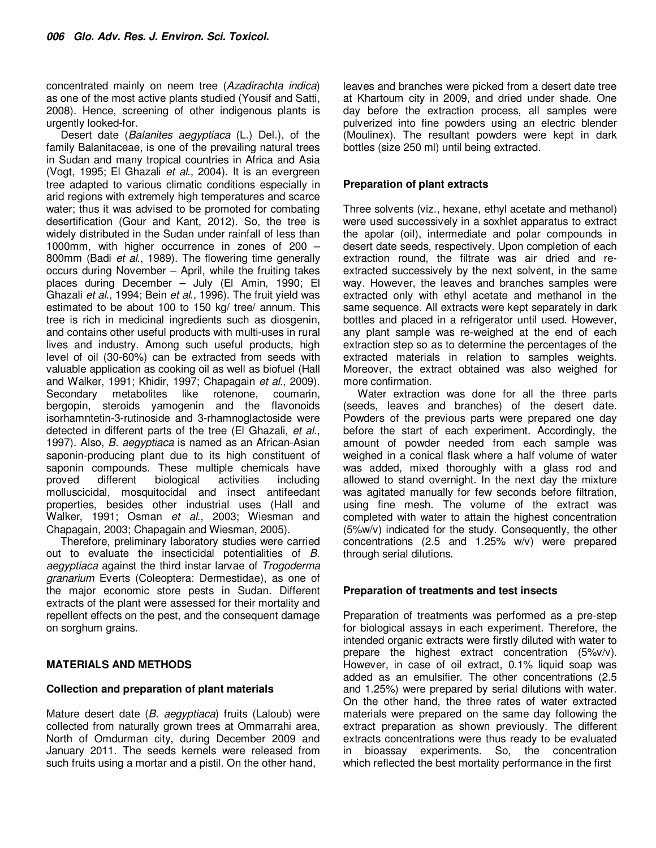concentrated mainly on neem tree (Azadirachta indica) as one of the most active plants studied (Yousif and Satti, 2008). Hence, screening of other indigenous plants is urgently looked-for.

Desert date (Balanites aegyptiaca (L.) Del.), of the family Balanitaceae, is one of the prevailing natural trees in Sudan and many tropical countries in Africa and Asia (Vogt, 1995; El Ghazali et al., 2004). It is an evergreen tree adapted to various climatic conditions especially in arid regions with extremely high temperatures and scarce water; thus it was advised to be promoted for combating desertification (Gour and Kant, 2012). So, the tree is widely distributed in the Sudan under rainfall of less than 1000mm, with higher occurrence in zones of 200 – 800mm (Badi et al., 1989). The flowering time generally occurs during November – April, while the fruiting takes places during December – July (El Amin, 1990; El Ghazali et al., 1994; Bein et al., 1996). The fruit yield was estimated to be about 100 to 150 kg/ tree/ annum. This tree is rich in medicinal ingredients such as diosgenin, and contains other useful products with multi-uses in rural lives and industry. Among such useful products, high level of oil (30-60%) can be extracted from seeds with valuable application as cooking oil as well as biofuel (Hall and Walker, 1991; Khidir, 1997; Chapagain et al., 2009). Secondary metabolites like rotenone, coumarin, bergopin, steroids yamogenin and the flavonoids isorhamntetin-3-rutinoside and 3-rhamnoglactoside were detected in different parts of the tree (El Ghazali, et al., 1997). Also, *B. aegyptiaca* is named as an African-Asian saponin-producing plant due to its high constituent of saponin compounds. These multiple chemicals have proved different biological activities including molluscicidal, mosquitocidal and insect antifeedant properties, besides other industrial uses (Hall and Walker, 1991; Osman et al., 2003; Wiesman and Chapagain, 2003; Chapagain and Wiesman, 2005).

Therefore, preliminary laboratory studies were carried out to evaluate the insecticidal potentialities of B. aegyptiaca against the third instar larvae of Trogoderma granarium Everts (Coleoptera: Dermestidae), as one of the major economic store pests in Sudan. Different extracts of the plant were assessed for their mortality and repellent effects on the pest, and the consequent damage on sorghum grains.

# **MATERIALS AND METHODS**

# **Collection and preparation of plant materials**

Mature desert date (B. aegyptiaca) fruits (Laloub) were collected from naturally grown trees at Ommarrahi area, North of Omdurman city, during December 2009 and January 2011. The seeds kernels were released from such fruits using a mortar and a pistil. On the other hand,

leaves and branches were picked from a desert date tree at Khartoum city in 2009, and dried under shade. One day before the extraction process, all samples were pulverized into fine powders using an electric blender (Moulinex). The resultant powders were kept in dark bottles (size 250 ml) until being extracted.

### **Preparation of plant extracts**

Three solvents (viz., hexane, ethyl acetate and methanol) were used successively in a soxhlet apparatus to extract the apolar (oil), intermediate and polar compounds in desert date seeds, respectively. Upon completion of each extraction round, the filtrate was air dried and reextracted successively by the next solvent, in the same way. However, the leaves and branches samples were extracted only with ethyl acetate and methanol in the same sequence. All extracts were kept separately in dark bottles and placed in a refrigerator until used. However, any plant sample was re-weighed at the end of each extraction step so as to determine the percentages of the extracted materials in relation to samples weights. Moreover, the extract obtained was also weighed for more confirmation.

Water extraction was done for all the three parts (seeds, leaves and branches) of the desert date. Powders of the previous parts were prepared one day before the start of each experiment. Accordingly, the amount of powder needed from each sample was weighed in a conical flask where a half volume of water was added, mixed thoroughly with a glass rod and allowed to stand overnight. In the next day the mixture was agitated manually for few seconds before filtration, using fine mesh. The volume of the extract was completed with water to attain the highest concentration (5%w/v) indicated for the study. Consequently, the other concentrations (2.5 and 1.25% w/v) were prepared through serial dilutions.

# **Preparation of treatments and test insects**

Preparation of treatments was performed as a pre-step for biological assays in each experiment. Therefore, the intended organic extracts were firstly diluted with water to prepare the highest extract concentration (5%v/v). However, in case of oil extract, 0.1% liquid soap was added as an emulsifier. The other concentrations (2.5 and 1.25%) were prepared by serial dilutions with water. On the other hand, the three rates of water extracted materials were prepared on the same day following the extract preparation as shown previously. The different extracts concentrations were thus ready to be evaluated in bioassay experiments. So, the concentration which reflected the best mortality performance in the first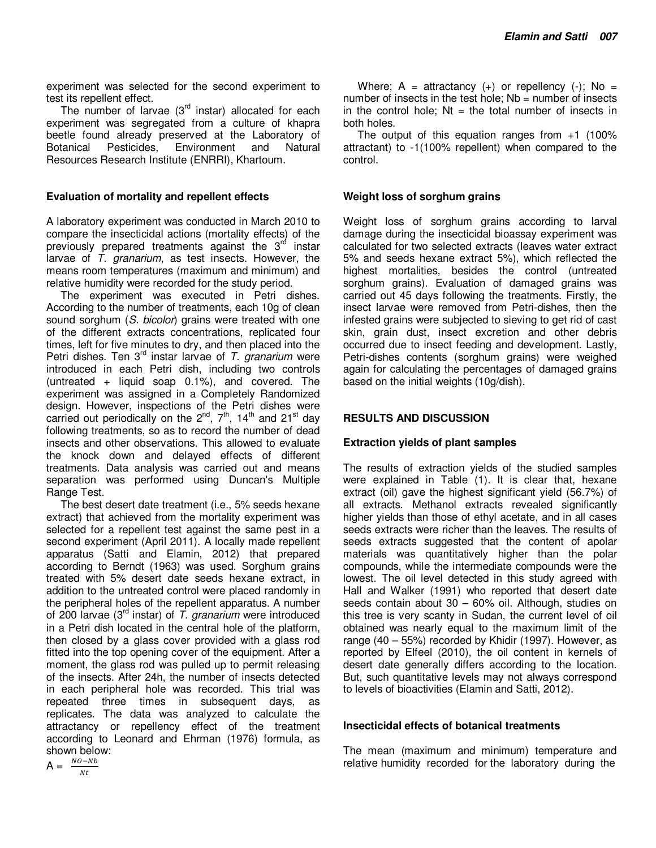experiment was selected for the second experiment to test its repellent effect.

The number of larvae  $(3<sup>rd</sup>$  instar) allocated for each experiment was segregated from a culture of khapra beetle found already preserved at the Laboratory of Botanical Pesticides, Environment and Natural Botanical Pesticides, Environment and Natural Resources Research Institute (ENRRI), Khartoum.

#### **Evaluation of mortality and repellent effects**

A laboratory experiment was conducted in March 2010 to compare the insecticidal actions (mortality effects) of the previously prepared treatments against the  $3<sup>rd</sup>$  instar larvae of  $\overline{T}$ . granarium, as test insects. However, the means room temperatures (maximum and minimum) and relative humidity were recorded for the study period.

The experiment was executed in Petri dishes. According to the number of treatments, each 10g of clean sound sorghum (S. bicolor) grains were treated with one of the different extracts concentrations, replicated four times, left for five minutes to dry, and then placed into the Petri dishes. Ten  $3^{rd}$  instar larvae of T. granarium were introduced in each Petri dish, including two controls (untreated + liquid soap 0.1%), and covered. The experiment was assigned in a Completely Randomized design. However, inspections of the Petri dishes were carried out periodically on the  $2<sup>nd</sup>$ ,  $7<sup>th</sup>$ ,  $14<sup>th</sup>$  and  $21<sup>st</sup>$  day following treatments, so as to record the number of dead insects and other observations. This allowed to evaluate the knock down and delayed effects of different treatments. Data analysis was carried out and means separation was performed using Duncan's Multiple Range Test.

The best desert date treatment (i.e., 5% seeds hexane extract) that achieved from the mortality experiment was selected for a repellent test against the same pest in a second experiment (April 2011). A locally made repellent apparatus (Satti and Elamin, 2012) that prepared according to Berndt (1963) was used. Sorghum grains treated with 5% desert date seeds hexane extract, in addition to the untreated control were placed randomly in the peripheral holes of the repellent apparatus. A number of 200 larvae ( $3<sup>rd</sup>$  instar) of T. granarium were introduced in a Petri dish located in the central hole of the platform, then closed by a glass cover provided with a glass rod fitted into the top opening cover of the equipment. After a moment, the glass rod was pulled up to permit releasing of the insects. After 24h, the number of insects detected in each peripheral hole was recorded. This trial was repeated three times in subsequent days, as replicates. The data was analyzed to calculate the attractancy or repellency effect of the treatment according to Leonard and Ehrman (1976) formula, as shown below:

 $A = \frac{NO - Nb}{N}$  $Nt$ 

Where;  $A =$  attractancy (+) or repellency (-); No = number of insects in the test hole;  $Nb = number$  of insects in the control hole;  $Nt = th$ e total number of insects in both holes.

The output of this equation ranges from  $+1$  (100%) attractant) to -1(100% repellent) when compared to the control.

#### **Weight loss of sorghum grains**

Weight loss of sorghum grains according to larval damage during the insecticidal bioassay experiment was calculated for two selected extracts (leaves water extract 5% and seeds hexane extract 5%), which reflected the highest mortalities, besides the control (untreated sorghum grains). Evaluation of damaged grains was carried out 45 days following the treatments. Firstly, the insect larvae were removed from Petri-dishes, then the infested grains were subjected to sieving to get rid of cast skin, grain dust, insect excretion and other debris occurred due to insect feeding and development. Lastly, Petri-dishes contents (sorghum grains) were weighed again for calculating the percentages of damaged grains based on the initial weights (10g/dish).

#### **RESULTS AND DISCUSSION**

#### **Extraction yields of plant samples**

The results of extraction yields of the studied samples were explained in Table (1). It is clear that, hexane extract (oil) gave the highest significant yield (56.7%) of all extracts. Methanol extracts revealed significantly higher yields than those of ethyl acetate, and in all cases seeds extracts were richer than the leaves. The results of seeds extracts suggested that the content of apolar materials was quantitatively higher than the polar compounds, while the intermediate compounds were the lowest. The oil level detected in this study agreed with Hall and Walker (1991) who reported that desert date seeds contain about 30 – 60% oil. Although, studies on this tree is very scanty in Sudan, the current level of oil obtained was nearly equal to the maximum limit of the range (40 – 55%) recorded by Khidir (1997). However, as reported by Elfeel (2010), the oil content in kernels of desert date generally differs according to the location. But, such quantitative levels may not always correspond to levels of bioactivities (Elamin and Satti, 2012).

#### **Insecticidal effects of botanical treatments**

The mean (maximum and minimum) temperature and relative humidity recorded for the laboratory during the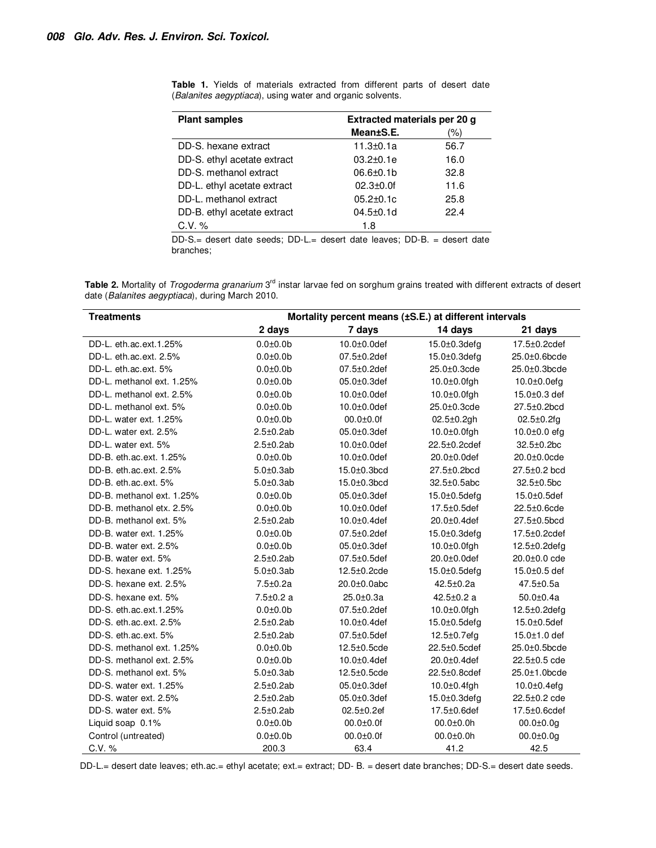$\overline{a}$ 

| <b>Plant samples</b>        | Extracted materials per 20 g |      |
|-----------------------------|------------------------------|------|
|                             | Mean±S.E.                    | (%)  |
| DD-S. hexane extract        | $11.3 \pm 0.1a$              | 56.7 |
| DD-S. ethyl acetate extract | $03.2 + 0.1e$                | 16.0 |
| DD-S. methanol extract      | $06.6 + 0.1b$                | 32.8 |
| DD-L. ethyl acetate extract | $02.3 + 0.01$                | 11.6 |
| DD-L. methanol extract      | $05.2 \pm 0.1c$              | 25.8 |
| DD-B. ethyl acetate extract | $04.5 + 0.1d$                | 22.4 |
| $C.V. \%$                   | 1.8                          |      |

**Table 1.** Yields of materials extracted from different parts of desert date (Balanites aegyptiaca), using water and organic solvents.

DD-S.= desert date seeds; DD-L.= desert date leaves; DD-B. = desert date branches;

Table 2. Mortality of Trogoderma granarium 3<sup>rd</sup> instar larvae fed on sorghum grains treated with different extracts of desert date (Balanites aegyptiaca), during March 2010.

| <b>Treatments</b>         | Mortality percent means (±S.E.) at different intervals |                    |                     |                     |
|---------------------------|--------------------------------------------------------|--------------------|---------------------|---------------------|
|                           | 2 days                                                 | 7 days             | 14 days             | 21 days             |
| DD-L. eth.ac.ext.1.25%    | $0.0 + 0.0$                                            | $10.0 + 0.0$ def   | $15.0 \pm 0.3$ defg | 17.5±0.2cdef        |
| DD-L. eth.ac.ext. 2.5%    | $0.0 + 0.0$                                            | 07.5±0.2def        | 15.0±0.3defg        | 25.0±0.6bcde        |
| DD-L. eth.ac.ext. 5%      | $0.0 + 0.0$                                            | $07.5 \pm 0.2$ def | 25.0±0.3cde         | 25.0±0.3bcde        |
| DD-L. methanol ext. 1.25% | $0.0 + 0.0$                                            | $05.0 \pm 0.3$ def | $10.0 \pm 0.0$ fgh  | $10.0 \pm 0.0$ efg  |
| DD-L. methanol ext. 2.5%  | $0.0 + 0.0$                                            | $10.0 \pm 0.0$ def | $10.0 \pm 0.0$ fgh  | 15.0±0.3 def        |
| DD-L. methanol ext. 5%    | $0.0 + 0.0$                                            | $10.0 \pm 0.0$ def | 25.0±0.3cde         | 27.5±0.2bcd         |
| DD-L. water ext. 1.25%    | $0.0 + 0.0$                                            | $00.0 + 0.0$       | $02.5 \pm 0.2$ gh   | $02.5 \pm 0.2$ fg   |
| DD-L. water ext. 2.5%     | $2.5 \pm 0.2$ ab                                       | 05.0±0.3def        | $10.0 \pm 0.0$ fgh  | $10.0 \pm 0.0$ efg  |
| DD-L. water ext. 5%       | $2.5 \pm 0.2$ ab                                       | 10.0±0.0def        | 22.5±0.2cdef        | 32.5±0.2bc          |
| DD-B. eth.ac.ext. 1.25%   | $0.0 + 0.0$                                            | $10.0 \pm 0.0$ def | $20.0 \pm 0.0$ def  | $20.0 \pm 0.0$ cde  |
| DD-B. eth.ac.ext. 2.5%    | $5.0 \pm 0.3$ ab                                       | 15.0±0.3bcd        | 27.5±0.2bcd         | 27.5±0.2 bcd        |
| DD-B. eth.ac.ext. 5%      | $5.0 \pm 0.3$ ab                                       | 15.0±0.3bcd        | 32.5±0.5abc         | 32.5±0.5bc          |
| DD-B. methanol ext. 1.25% | $0.0 + 0.0$                                            | 05.0±0.3def        | 15.0±0.5defg        | 15.0±0.5def         |
| DD-B, methanol etx, 2.5%  | $0.0 + 0.0$                                            | $10.0 \pm 0.0$ def | $17.5 \pm 0.5$ def  | 22.5±0.6cde         |
| DD-B. methanol ext. 5%    | $2.5 \pm 0.2$ ab                                       | 10.0±0.4def        | 20.0±0.4def         | 27.5±0.5bcd         |
| DD-B. water ext. 1.25%    | $0.0 + 0.0$                                            | 07.5±0.2def        | 15.0±0.3defg        | 17.5±0.2cdef        |
| DD-B. water ext. 2.5%     | $0.0 + 0.0$                                            | $05.0 \pm 0.3$ def | $10.0 \pm 0.0$ fgh  | $12.5 \pm 0.2$ defa |
| DD-B. water ext. 5%       | $2.5 \pm 0.2$ ab                                       | $07.5 \pm 0.5$ def | 20.0±0.0def         | 20.0±0.0 cde        |
| DD-S, hexane ext, 1.25%   | $5.0\pm0.3ab$                                          | 12.5±0.2cde        | $15.0 \pm 0.5$ defg | $15.0 \pm 0.5$ def  |
| DD-S, hexane ext, 2.5%    | $7.5 \pm 0.2a$                                         | 20.0±0.0abc        | 42.5±0.2a           | $47.5 \pm 0.5a$     |
| DD-S. hexane ext. 5%      | $7.5 \pm 0.2$ a                                        | $25.0 \pm 0.3a$    | $42.5 \pm 0.2$ a    | $50.0 + 0.4a$       |
| DD-S. eth.ac.ext.1.25%    | $0.0 + 0.0$                                            | 07.5±0.2def        | $10.0 \pm 0.0$ fgh  | $12.5 \pm 0.2$ defg |
| DD-S. eth.ac.ext. 2.5%    | $2.5 \pm 0.2$ ab                                       | $10.0 \pm 0.4$ def | 15.0±0.5defg        | 15.0±0.5def         |
| DD-S. eth.ac.ext. 5%      | $2.5 \pm 0.2$ ab                                       | $07.5 \pm 0.5$ def | 12.5±0.7efg         | $15.0 \pm 1.0$ def  |
| DD-S. methanol ext. 1.25% | $0.0 + 0.0$                                            | 12.5±0.5cde        | 22.5±0.5cdef        | 25.0±0.5bcde        |
| DD-S. methanol ext. 2.5%  | $0.0 + 0.0$                                            | $10.0 + 0.4$ def   | $20.0 \pm 0.4$ def  | 22.5±0.5 cde        |
| DD-S. methanol ext. 5%    | $5.0\pm0.3ab$                                          | 12.5±0.5cde        | 22.5±0.8cdef        | 25.0±1.0bcde        |
| DD-S. water ext. 1.25%    | $2.5 \pm 0.2$ ab                                       | 05.0±0.3def        | 10.0±0.4fgh         | $10.0 \pm 0.4$ efg  |
| DD-S. water ext. 2.5%     | $2.5 \pm 0.2$ ab                                       | 05.0±0.3def        | 15.0±0.3defg        | 22.5±0.2 cde        |
| DD-S. water ext. 5%       | $2.5 \pm 0.2$ ab                                       | 02.5±0.2ef         | 17.5±0.6def         | 17.5±0.6cdef        |
| Liquid soap 0.1%          | $0.0 + 0.0$                                            | $00.0 + 0.0$       | $00.0 + 0.0h$       | $00.0 \pm 0.0$ g    |
| Control (untreated)       | $0.0 + 0.0$                                            | $00.0 + 0.0f$      | $00.0 + 0.0h$       | $00.0 \pm 0.0$ g    |
| C.V. %                    | 200.3                                                  | 63.4               | 41.2                | 42.5                |

DD-L.= desert date leaves; eth.ac.= ethyl acetate; ext.= extract; DD- B. = desert date branches; DD-S.= desert date seeds.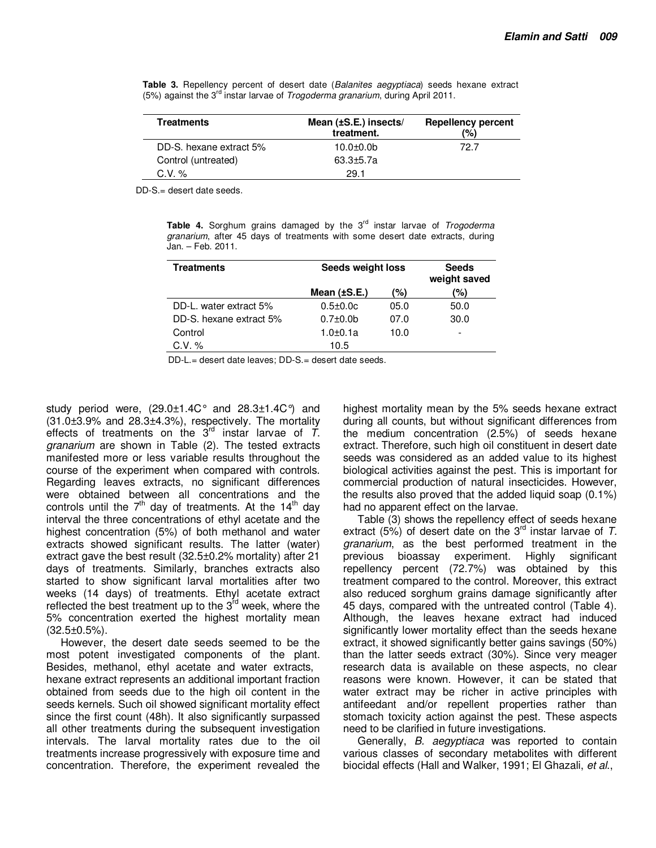| <b>Treatments</b>       | Mean $(\pm S.E.)$ insects/<br>treatment. | <b>Repellency percent</b><br>(%) |
|-------------------------|------------------------------------------|----------------------------------|
| DD-S, hexane extract 5% | $10.0 + 0.0$                             | 72 7                             |
| Control (untreated)     | $63.3 + 5.7a$                            |                                  |
| $C.V. \%$               | 29.1                                     |                                  |

**Table 3.** Repellency percent of desert date (Balanites aegyptiaca) seeds hexane extract (5%) against the 3<sup>rd</sup> instar larvae of *Trogoderma granarium*, during April 2011.

DD-S.= desert date seeds.

Table 4. Sorghum grains damaged by the 3<sup>rd</sup> instar larvae of Trogoderma granarium, after 45 days of treatments with some desert date extracts, during Jan. – Feb. 2011.

| <b>Treatments</b>       | Seeds weight loss |      | <b>Seeds</b><br>weight saved |
|-------------------------|-------------------|------|------------------------------|
|                         | Mean $(\pm S.E.)$ | (%)  | (%)                          |
| DD-L. water extract 5%  | $0.5 \pm 0.0c$    | 05.0 | 50.0                         |
| DD-S. hexane extract 5% | $0.7 \pm 0.0$ b   | 07.0 | 30.0                         |
| Control                 | 1.0±0.1a          | 10.0 | -                            |
| C.V. %                  | 10.5              |      |                              |

DD-L.= desert date leaves; DD-S.= desert date seeds.

study period were,  $(29.0 \pm 1.4 C^{\circ})$  and  $28.3 \pm 1.4 C^{\circ}$  and  $(31.0\pm3.9\%$  and  $28.3\pm4.3\%)$ , respectively. The mortality effects of treatments on the  $3^{rd}$  instar larvae of T. granarium are shown in Table (2). The tested extracts manifested more or less variable results throughout the course of the experiment when compared with controls. Regarding leaves extracts, no significant differences were obtained between all concentrations and the controls until the  $7<sup>th</sup>$  day of treatments. At the 14<sup>th</sup> day interval the three concentrations of ethyl acetate and the highest concentration (5%) of both methanol and water extracts showed significant results. The latter (water) extract gave the best result (32.5±0.2% mortality) after 21 days of treatments. Similarly, branches extracts also started to show significant larval mortalities after two weeks (14 days) of treatments. Ethyl acetate extract reflected the best treatment up to the  $3^{rd}$  week, where the 5% concentration exerted the highest mortality mean (32.5±0.5%).

However, the desert date seeds seemed to be the most potent investigated components of the plant. Besides, methanol, ethyl acetate and water extracts, hexane extract represents an additional important fraction obtained from seeds due to the high oil content in the seeds kernels. Such oil showed significant mortality effect since the first count (48h). It also significantly surpassed all other treatments during the subsequent investigation intervals. The larval mortality rates due to the oil treatments increase progressively with exposure time and concentration. Therefore, the experiment revealed the

highest mortality mean by the 5% seeds hexane extract during all counts, but without significant differences from the medium concentration (2.5%) of seeds hexane extract. Therefore, such high oil constituent in desert date seeds was considered as an added value to its highest biological activities against the pest. This is important for commercial production of natural insecticides. However, the results also proved that the added liquid soap (0.1%) had no apparent effect on the larvae.

Table (3) shows the repellency effect of seeds hexane extract (5%) of desert date on the  $3<sup>rd</sup>$  instar larvae of T. granarium, as the best performed treatment in the previous bioassay experiment. Highly significant repellency percent (72.7%) was obtained by this treatment compared to the control. Moreover, this extract also reduced sorghum grains damage significantly after 45 days, compared with the untreated control (Table 4). Although, the leaves hexane extract had induced significantly lower mortality effect than the seeds hexane extract, it showed significantly better gains savings (50%) than the latter seeds extract (30%). Since very meager research data is available on these aspects, no clear reasons were known. However, it can be stated that water extract may be richer in active principles with antifeedant and/or repellent properties rather than stomach toxicity action against the pest. These aspects need to be clarified in future investigations.

Generally, B. aegyptiaca was reported to contain various classes of secondary metabolites with different biocidal effects (Hall and Walker, 1991; El Ghazali, et al.,